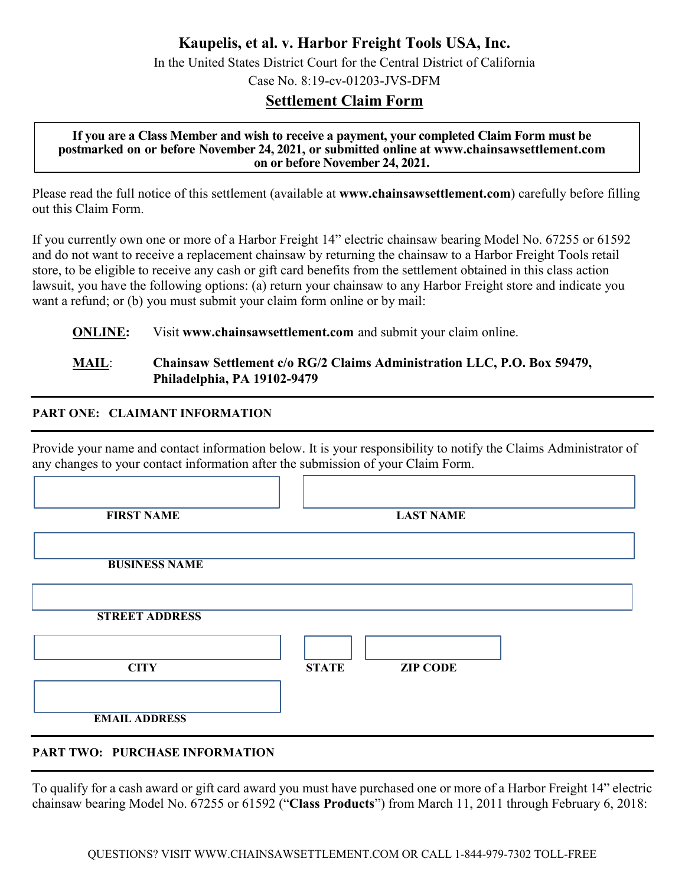**Kaupelis, et al. v. Harbor Freight Tools USA, Inc.**

In the United States District Court for the Central District of California Case No. 8:19-cv-01203-JVS-DFM

# **Settlement Claim Form**

#### **If you are a Class Member and wish to receive a payment, your completed Claim Form must be postmarked on or before November 24, 2021, or submitted online at www.chainsawsettlement.com [on](http://www.chipsettlement.com/) or before November 24, 2021.**

Please read the full notice of this settlement (available at **www.chainsawsettlement.com**) carefully before filling out this Claim Form.

If you currently own one or more of a Harbor Freight 14" electric chainsaw bearing Model No. 67255 or 61592 and do not want to receive a replacement chainsaw by returning the chainsaw to a Harbor Freight Tools retail store, to be eligible to receive any cash or gift card benefits from the settlement obtained in this class action lawsuit, you have the following options: (a) return your chainsaw to any Harbor Freight store and indicate you want a refund; or (b) you must submit your claim form online or by mail:

**ONLINE:** Visit www.chainsawsettlement.com and submit your claim online.

### **MAIL**: **Chainsaw Settlement c/o RG/2 Claims Administration LLC, P.O. Box 59479, Philadelphia, PA 19102-9479**

#### ֧֞֝֬֝֬֝֬֝֬֝֬֝֬֝֬֝֬֝֬֝֬ **PART ONE: CLAIMANT INFORMATION**

֧֞֝֬֝֬֝֬֝֬֝֬֝֬֝֬֝֬֝֬֝֬ Provide your name and contact information below. It is your responsibility to notify the Claims Administrator of any changes to your contact information after the submission of your Claim Form.

| <b>FIRST NAME</b>     | <b>LAST NAME</b>                |
|-----------------------|---------------------------------|
| <b>BUSINESS NAME</b>  |                                 |
| <b>STREET ADDRESS</b> |                                 |
| <b>CITY</b>           | <b>ZIP CODE</b><br><b>STATE</b> |
|                       |                                 |

# **PART TWO: PURCHASE INFORMATION**

֧֞֝֬֝֬֝֬֝֬֝֬֝֬֝֬֝֬֝֬֝֬ To qualify for a cash award or gift card award you must have purchased one or more of a Harbor Freight 14" electric chainsaw bearing Model No. 67255 or 61592 ("**Class Products**") from March 11, 2011 through February 6, 2018: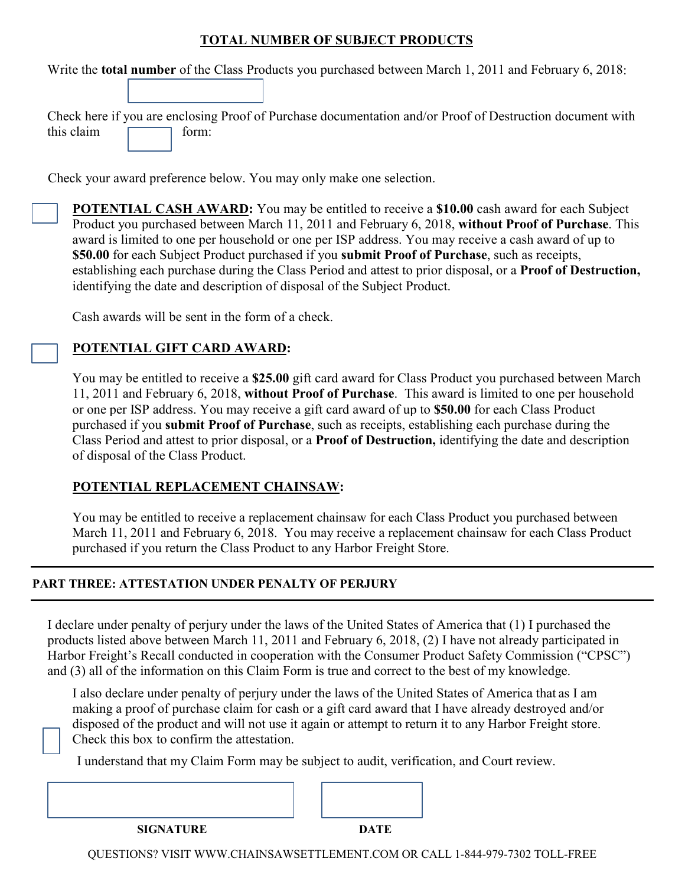## **TOTAL NUMBER OF SUBJECT PRODUCTS**

Write the **total number** of the Class Products you purchased between March 1, 2011 and February 6, 2018:

Check here if you are enclosing Proof of Purchase documentation and/or Proof of Destruction document with this claim  $\Box$  form:

Check your award preference below. You may only make one selection.

**POTENTIAL CASH AWARD:** You may be entitled to receive a **\$10.00** cash award for each Subject Product you purchased between March 11, 2011 and February 6, 2018, **without Proof of Purchase**. This award is limited to one per household or one per ISP address. You may receive a cash award of up to **\$50.00** for each Subject Product purchased if you **submit Proof of Purchase**, such as receipts, establishing each purchase during the Class Period and attest to prior disposal, or a **Proof of Destruction,** identifying the date and description of disposal of the Subject Product.

Cash awards will be sent in the form of a check.

## **POTENTIAL GIFT CARD AWARD:**

You may be entitled to receive a **\$25.00** gift card award for Class Product you purchased between March 11, 2011 and February 6, 2018, **without Proof of Purchase**. This award is limited to one per household or one per ISP address. You may receive a gift card award of up to **\$50.00** for each Class Product purchased if you **submit Proof of Purchase**, such as receipts, establishing each purchase during the Class Period and attest to prior disposal, or a **Proof of Destruction,** identifying the date and description of disposal of the Class Product.

### **POTENTIAL REPLACEMENT CHAINSAW:**

You may be entitled to receive a replacement chainsaw for each Class Product you purchased between March 11, 2011 and February 6, 2018. You may receive a replacement chainsaw for each Class Product purchased if you return the Class Product to any Harbor Freight Store.

#### ֧֞֝֬֝֬֝֬֝֬֝֬֝֬֝֬֝֬֝֬֝֬ **PART THREE: ATTESTATION UNDER PENALTY OF PERJURY**

֧֞֝֬֝֬֝֬֝֬֝֬֝֬֝֬֝֬֝֬֝֬

I declare under penalty of perjury under the laws of the United States of America that (1) I purchased the products listed above between March 11, 2011 and February 6, 2018, (2) I have not already participated in Harbor Freight's Recall conducted in cooperation with the Consumer Product Safety Commission ("CPSC") and (3) all of the information on this Claim Form is true and correct to the best of my knowledge.

I also declare under penalty of perjury under the laws of the United States of America that as I am making a proof of purchase claim for cash or a gift card award that I have already destroyed and/or disposed of the product and will not use it again or attempt to return it to any Harbor Freight store. Check this box to confirm the attestation.

I understand that my Claim Form may be subject to audit, verification, and Court review.



QUESTIONS? VISIT WWW.CHAINSAWSETTLEMENT.COM OR CALL 1-844-979-7302 TOLL-FREE